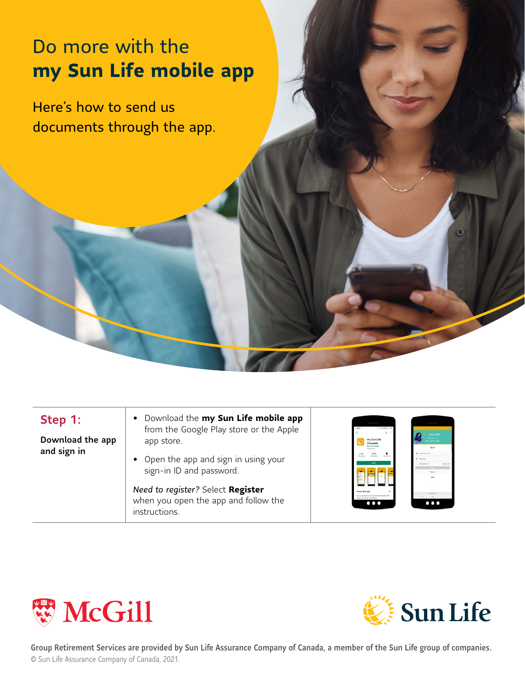## Do more with the **my Sun Life mobile app**

Here's how to send us documents through the app.

## Step 1:

Download the app and sign in

- Download the **my Sun Life mobile app** from the Google Play store or the Apple app store.
- Open the app and sign in using your sign-in ID and password.

*Need to register?* Select **Register** when you open the app and follow the instructions.







Group Retirement Services are provided by Sun Life Assurance Company of Canada, a member of the Sun Life group of companies. © Sun Life Assurance Company of Canada, 2021.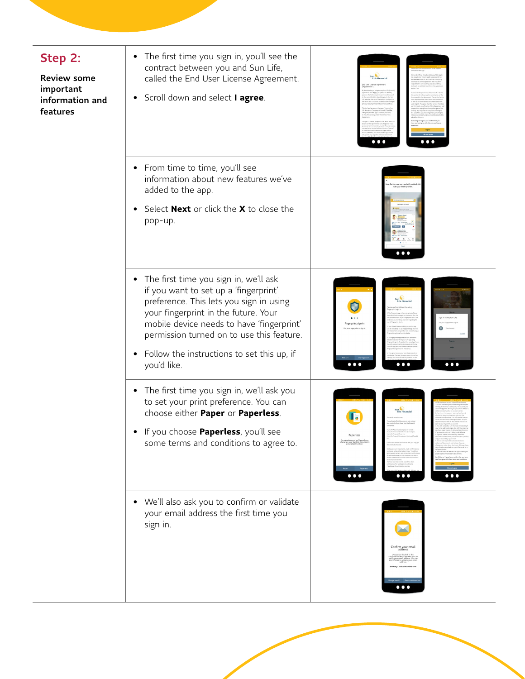| Step 2:<br><b>Review some</b><br>important<br>information and<br>features | The first time you sign in, you'll see the<br>٠<br>contract between you and Sun Life,<br>called the End User License Agreement.<br>Scroll down and select I agree.<br>$\bullet$                                                                                                                                                         |                                                                                                                   |
|---------------------------------------------------------------------------|-----------------------------------------------------------------------------------------------------------------------------------------------------------------------------------------------------------------------------------------------------------------------------------------------------------------------------------------|-------------------------------------------------------------------------------------------------------------------|
|                                                                           | • From time to time, you'll see<br>information about new features we've<br>added to the app.<br>Select <b>Next</b> or click the X to close the<br>٠<br>pop-up.                                                                                                                                                                          | $\bullet\bullet\bullet$                                                                                           |
|                                                                           | • The first time you sign in, we'll ask<br>if you want to set up a 'fingerprint'<br>preference. This lets you sign in using<br>your fingerprint in the future. Your<br>mobile device needs to have 'fingerprint'<br>permission turned on to use this feature.<br>Follow the instructions to set this up, if<br>$\bullet$<br>you'd like. | $\bullet\bullet\bullet$<br>$\bullet$ $\bullet$ (<br>$\bullet\bullet\bullet$                                       |
|                                                                           | The first time you sign in, we'll ask you<br>$\bullet$<br>to set your print preference. You can<br>choose either Paper or Paperless.<br>If you choose Paperless, you'll see<br>٠<br>some terms and conditions to agree to.                                                                                                              | <b>Paperless</b><br>Go paperless and we'll email you<br>whenever your Sun Life documen<br>$\bullet\bullet\bullet$ |
|                                                                           | • We'll also ask you to confirm or validate<br>your email address the first time you<br>sign in.                                                                                                                                                                                                                                        | $\mathbf{u}$                                                                                                      |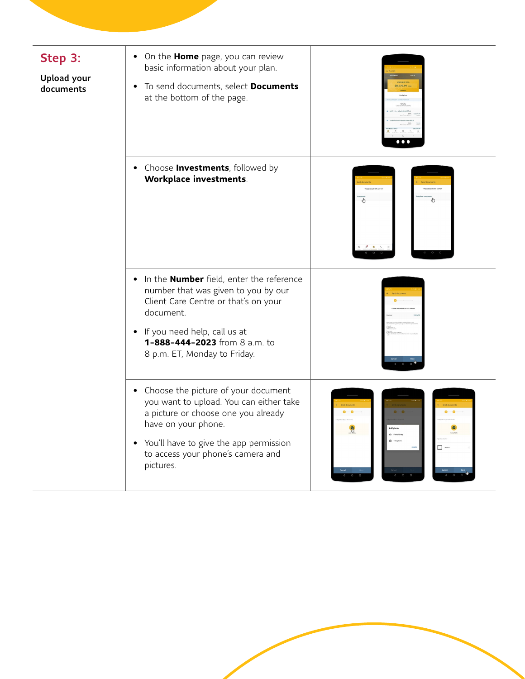